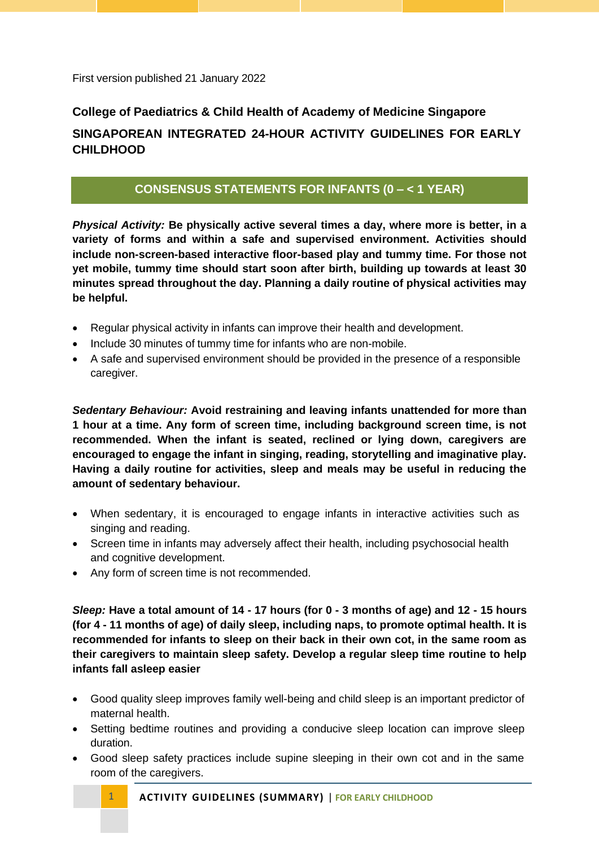First version published 21 January 2022

# **College of Paediatrics & Child Health of Academy of Medicine Singapore SINGAPOREAN INTEGRATED 24-HOUR ACTIVITY GUIDELINES FOR EARLY CHILDHOOD**

### **CONSENSUS STATEMENTS FOR INFANTS (0 – < 1 YEAR)**

*Physical Activity:* **Be physically active several times a day, where more is better, in a variety of forms and within a safe and supervised environment. Activities should include non-screen-based interactive floor-based play and tummy time. For those not yet mobile, tummy time should start soon after birth, building up towards at least 30 minutes spread throughout the day. Planning a daily routine of physical activities may be helpful.**

- Regular physical activity in infants can improve their health and development.
- Include 30 minutes of tummy time for infants who are non-mobile.
- A safe and supervised environment should be provided in the presence of a responsible caregiver.

*Sedentary Behaviour:* **Avoid restraining and leaving infants unattended for more than 1 hour at a time. Any form of screen time, including background screen time, is not recommended. When the infant is seated, reclined or lying down, caregivers are encouraged to engage the infant in singing, reading, storytelling and imaginative play. Having a daily routine for activities, sleep and meals may be useful in reducing the amount of sedentary behaviour.**

- When sedentary, it is encouraged to engage infants in interactive activities such as singing and reading.
- Screen time in infants may adversely affect their health, including psychosocial health and cognitive development.
- Any form of screen time is not recommended.

*Sleep:* **Have a total amount of 14 - 17 hours (for 0 - 3 months of age) and 12 - 15 hours (for 4 - 11 months of age) of daily sleep, including naps, to promote optimal health. It is recommended for infants to sleep on their back in their own cot, in the same room as their caregivers to maintain sleep safety. Develop a regular sleep time routine to help infants fall asleep easier**

- Good quality sleep improves family well-being and child sleep is an important predictor of maternal health.
- Setting bedtime routines and providing a conducive sleep location can improve sleep duration.
- Good sleep safety practices include supine sleeping in their own cot and in the same room of the caregivers.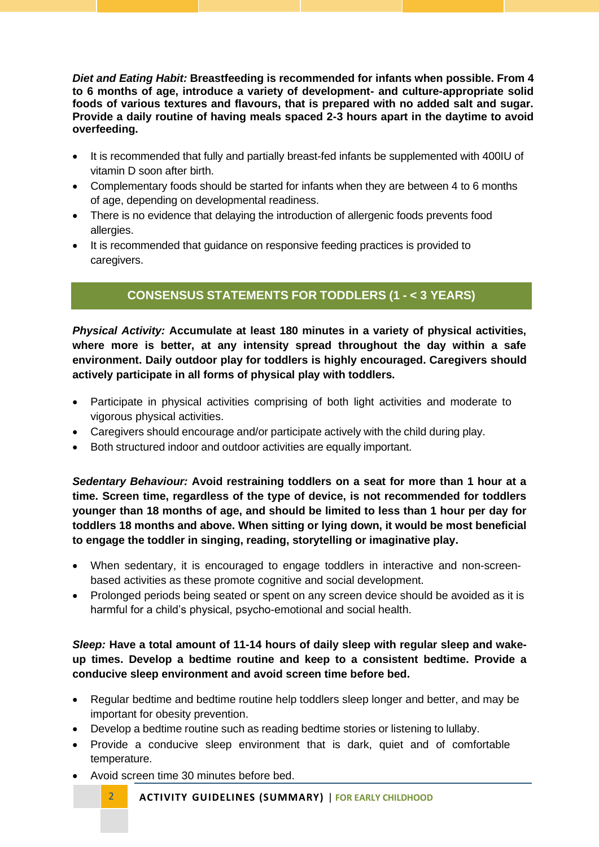*Diet and Eating Habit:* **Breastfeeding is recommended for infants when possible. From 4 to 6 months of age, introduce a variety of development- and culture-appropriate solid foods of various textures and flavours, that is prepared with no added salt and sugar. Provide a daily routine of having meals spaced 2-3 hours apart in the daytime to avoid overfeeding.**

- It is recommended that fully and partially breast-fed infants be supplemented with 400IU of vitamin D soon after birth.
- Complementary foods should be started for infants when they are between 4 to 6 months of age, depending on developmental readiness.
- There is no evidence that delaying the introduction of allergenic foods prevents food allergies.
- It is recommended that guidance on responsive feeding practices is provided to caregivers.

# **CONSENSUS STATEMENTS FOR TODDLERS (1 - < 3 YEARS)**

*Physical Activity:* **Accumulate at least 180 minutes in a variety of physical activities, where more is better, at any intensity spread throughout the day within a safe environment. Daily outdoor play for toddlers is highly encouraged. Caregivers should actively participate in all forms of physical play with toddlers.**

- Participate in physical activities comprising of both light activities and moderate to vigorous physical activities.
- Caregivers should encourage and/or participate actively with the child during play.
- Both structured indoor and outdoor activities are equally important.

*Sedentary Behaviour:* **Avoid restraining toddlers on a seat for more than 1 hour at a time. Screen time, regardless of the type of device, is not recommended for toddlers younger than 18 months of age, and should be limited to less than 1 hour per day for toddlers 18 months and above. When sitting or lying down, it would be most beneficial to engage the toddler in singing, reading, storytelling or imaginative play.**

- When sedentary, it is encouraged to engage toddlers in interactive and non-screenbased activities as these promote cognitive and social development.
- Prolonged periods being seated or spent on any screen device should be avoided as it is harmful for a child's physical, psycho-emotional and social health.

#### *Sleep:* **Have a total amount of 11-14 hours of daily sleep with regular sleep and wakeup times. Develop a bedtime routine and keep to a consistent bedtime. Provide a conducive sleep environment and avoid screen time before bed.**

- Regular bedtime and bedtime routine help toddlers sleep longer and better, and may be important for obesity prevention.
- Develop a bedtime routine such as reading bedtime stories or listening to lullaby.
- Provide a conducive sleep environment that is dark, quiet and of comfortable temperature.
- Avoid screen time 30 minutes before bed.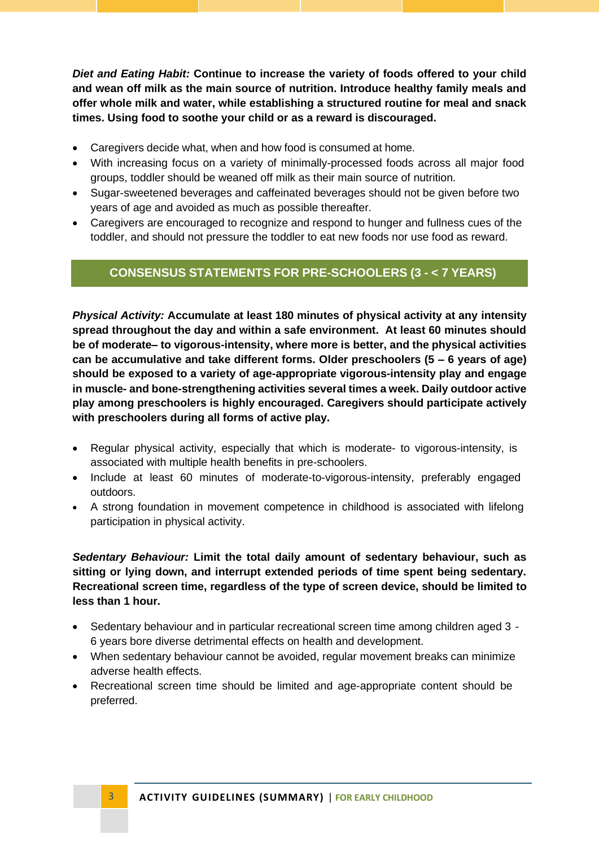*Diet and Eating Habit:* **Continue to increase the variety of foods offered to your child and wean off milk as the main source of nutrition. Introduce healthy family meals and offer whole milk and water, while establishing a structured routine for meal and snack times. Using food to soothe your child or as a reward is discouraged.**

- Caregivers decide what, when and how food is consumed at home.
- With increasing focus on a variety of minimally-processed foods across all major food groups, toddler should be weaned off milk as their main source of nutrition.
- Sugar-sweetened beverages and caffeinated beverages should not be given before two years of age and avoided as much as possible thereafter.
- Caregivers are encouraged to recognize and respond to hunger and fullness cues of the toddler, and should not pressure the toddler to eat new foods nor use food as reward.

### **CONSENSUS STATEMENTS FOR PRE-SCHOOLERS (3 - < 7 YEARS)**

*Physical Activity:* **Accumulate at least 180 minutes of physical activity at any intensity spread throughout the day and within a safe environment. At least 60 minutes should be of moderate– to vigorous-intensity, where more is better, and the physical activities can be accumulative and take different forms. Older preschoolers (5 – 6 years of age) should be exposed to a variety of age-appropriate vigorous-intensity play and engage in muscle- and bone-strengthening activities several times a week. Daily outdoor active play among preschoolers is highly encouraged. Caregivers should participate actively with preschoolers during all forms of active play.**

- Regular physical activity, especially that which is moderate- to vigorous-intensity, is associated with multiple health benefits in pre-schoolers.
- Include at least 60 minutes of moderate-to-vigorous-intensity, preferably engaged outdoors.
- A strong foundation in movement competence in childhood is associated with lifelong participation in physical activity.

*Sedentary Behaviour:* **Limit the total daily amount of sedentary behaviour, such as sitting or lying down, and interrupt extended periods of time spent being sedentary. Recreational screen time, regardless of the type of screen device, should be limited to less than 1 hour.**

- Sedentary behaviour and in particular recreational screen time among children aged 3 6 years bore diverse detrimental effects on health and development.
- When sedentary behaviour cannot be avoided, regular movement breaks can minimize adverse health effects.
- Recreational screen time should be limited and age-appropriate content should be preferred.